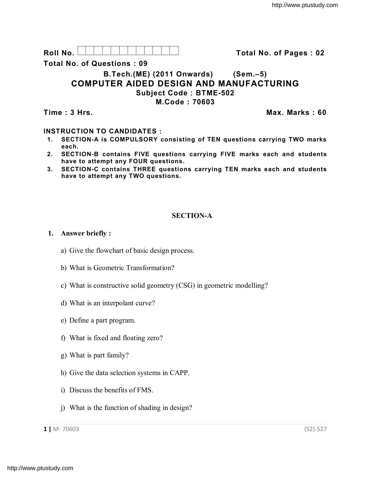**Roll No. Total No. of Pages : 02**

**Total No. of Questions : 09**

# **B.Tech.(ME) (2011 Onwards) (Sem.–5) COMPUTER AIDED DESIGN AND MANUFACTURING Subject Code : BTME-502**

**M.Code : 70603**

**Time : 3 Hrs. Max. Marks : 60**

### **INSTRUCTION TO CANDIDATES :**

- **1. SECTION-A is COMPULSORY consisting of TEN questions carrying TWO marks each.**
- **2. SECTION-B contains FIVE questions carrying FIVE marks each and students have to attempt any FOUR questions.**
- **3. SECTION-C contains THREE questions carrying TEN marks each and students have to attempt any TWO questions.**

## **SECTION-A**

### **1. Answer briefly :**

- a) Give the flowchart of basic design process.
- b) What is Geometric Transformation?
- c) What is constructive solid geometry (CSG) in geometric modelling?
- d) What is an interpolant curve?
- e) Define a part program.
- f) What is fixed and floating zero?
- g) What is part family?
- h) Give the data selection systems in CAPP.
- i) Discuss the benefits of FMS.
- j) What is the function of shading in design?